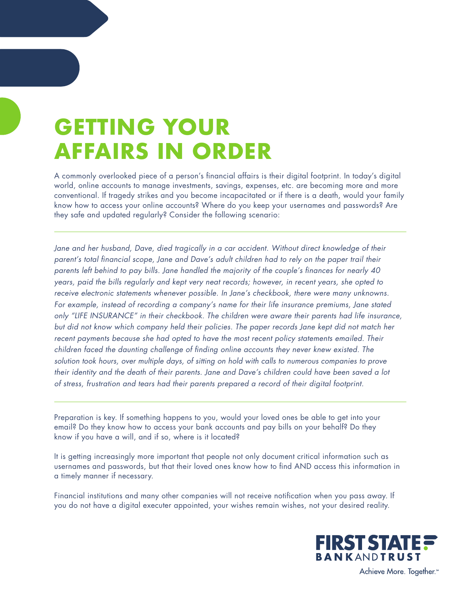# **GETTING YOUR AFFAIRS IN ORDER**

A commonly overlooked piece of a person's financial affairs is their digital footprint. In today's digital world, online accounts to manage investments, savings, expenses, etc. are becoming more and more conventional. If tragedy strikes and you become incapacitated or if there is a death, would your family know how to access your online accounts? Where do you keep your usernames and passwords? Are they safe and updated regularly? Consider the following scenario:

Jane and her husband, Dave, died tragically in a car accident. Without direct knowledge of their *parent's total financial scope, Jane and Dave's adult children had to rely on the paper trail their parents left behind to pay bills. Jane handled the majority of the couple's finances for nearly 40 years, paid the bills regularly and kept very neat records; however, in recent years, she opted to receive electronic statements whenever possible. In Jane's checkbook, there were many unknowns. For example, instead of recording a company's name for their life insurance premiums, Jane stated only "LIFE INSURANCE" in their checkbook. The children were aware their parents had life insurance, but did not know which company held their policies. The paper records Jane kept did not match her*  recent payments because she had opted to have the most recent policy statements emailed. Their *children faced the daunting challenge of finding online accounts they never knew existed. The solution took hours, over multiple days, of sitting on hold with calls to numerous companies to prove their identity and the death of their parents. Jane and Dave's children could have been saved a lot of stress, frustration and tears had their parents prepared a record of their digital footprint.*

Preparation is key. If something happens to you, would your loved ones be able to get into your email? Do they know how to access your bank accounts and pay bills on your behalf? Do they know if you have a will, and if so, where is it located?

It is getting increasingly more important that people not only document critical information such as usernames and passwords, but that their loved ones know how to find AND access this information in a timely manner if necessary.

Financial institutions and many other companies will not receive notification when you pass away. If you do not have a digital executer appointed, your wishes remain wishes, not your desired reality.



Achieve More. Together.<sup>®</sup>